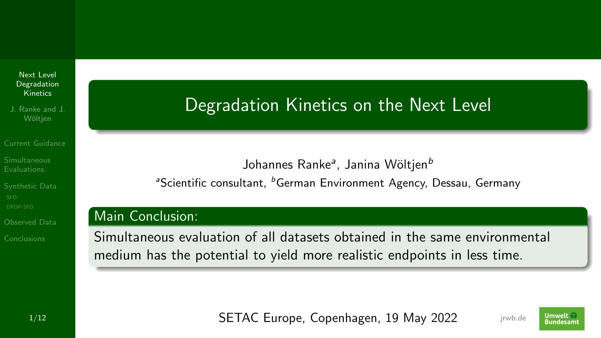<span id="page-0-0"></span>Next Level [Degradation](#page-44-0) Kinetics

J. Ranke and J. Wöltien

[Current Guidance](#page-2-0)

[Synthetic Data](#page-19-0)

[Observed Data](#page-33-0)

[Conclusions](#page-39-0)

### Degradation Kinetics on the Next Level

Johannes Ranke<sup>a</sup>, Janina Wöltjen<sup>b</sup> <sup>a</sup>Scientific consultant, <sup>b</sup>German Environment Agency, Dessau, Germany

### Main Conclusion:

Simultaneous evaluation of all datasets obtained in the same environmental medium has the potential to yield more realistic endpoints in less time.

1/12 **July 1/12 SETAC Europe, Copenhagen, 19 May 2022** *jrwb.de* 



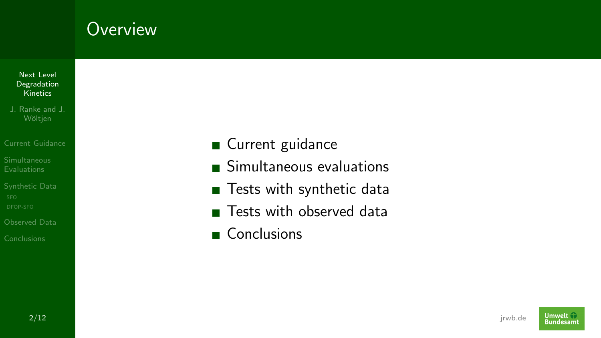### **Overview**

- Next Level [Degradation](#page-0-0) **Kinetics**
- J. Ranke and J.
- [Current Guidance](#page-2-0)
- 
- [Synthetic Data](#page-19-0)
- [Observed Data](#page-33-0)
- [Conclusions](#page-39-0)
- Current guidance
- Simultaneous evaluations
- Tests with synthetic data
- **Tests with observed data**
- Conclusions

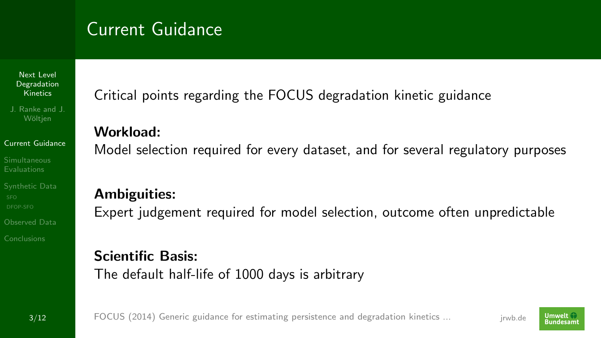## <span id="page-2-0"></span>Current Guidance

Next Level [Degradation](#page-0-0) Kinetics

J. Ranke and J. Wöltien

### [Current Guidance](#page-2-0)

[Synthetic Data](#page-19-0)

[Observed Data](#page-33-0)

[Conclusions](#page-39-0)

Critical points regarding the FOCUS degradation kinetic guidance

### Workload:

Model selection required for every dataset, and for several regulatory purposes

### Ambiguities:

Expert judgement required for model selection, outcome often unpredictable

### Scientific Basis:

The default half-life of 1000 days is arbitrary

3/12 jrwb.de [FOCUS \(2014\) Generic guidance for estimating persistence and degradation kinetics ...](https://esdac.jrc.ec.europa.eu/projects/degradation-kinetics)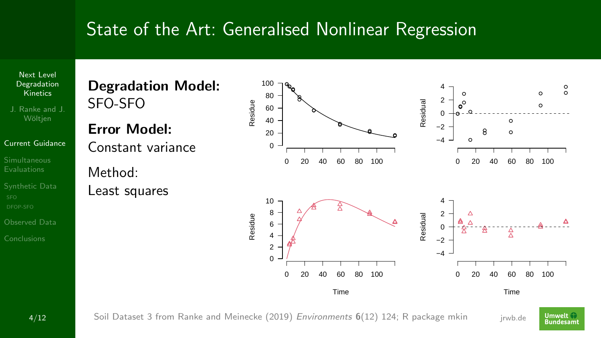



[Conclusions](#page-39-0)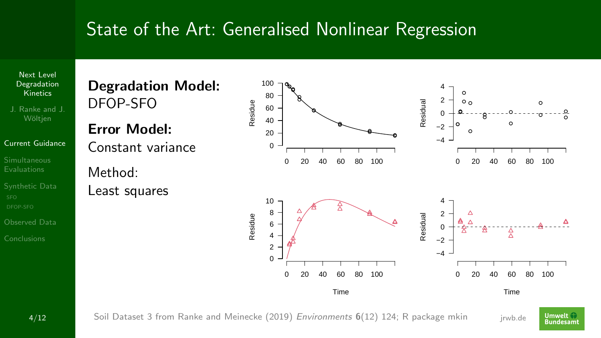

4/12 Soil Dataset 3 from [Ranke and Meinecke \(2019\)](https://doi.org/10.3390/environments6120124) *Environments* 6(12) 124; [R](https://www.r-project.org) package [mkin](https://pkgdown.jrwb.de/mkin) j<sub>rwb.de</sub>

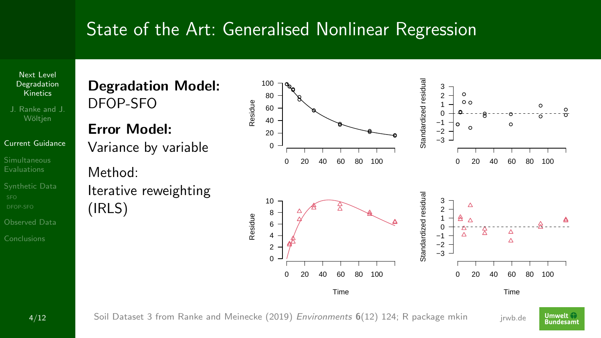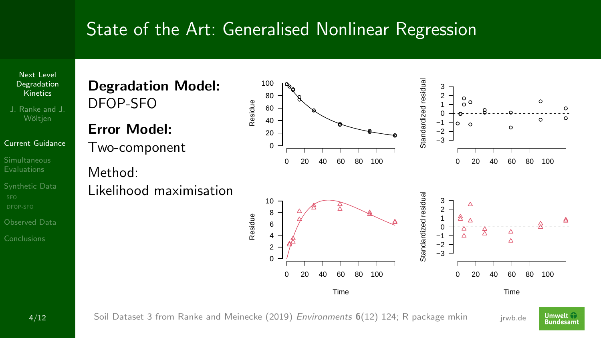[Degradation](#page-0-0) **Kinetics** J. Ranke and J.

Next Level

### [Current Guidance](#page-2-0)

[Synthetic Data](#page-19-0)

[Observed Data](#page-33-0)

[Conclusions](#page-39-0)



Error Model: Two-component

Method: Likelihood maximisation









Time

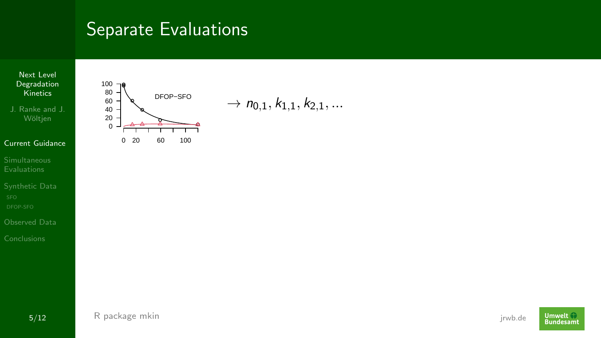

J. Ranke and J.

#### [Current Guidance](#page-2-0)

- [Synthetic Data](#page-19-0)
- [Observed Data](#page-33-0)
- 



 $\rightarrow$  n<sub>0.1</sub>,  $k_{1,1}$ ,  $k_{2,1}$ , ...

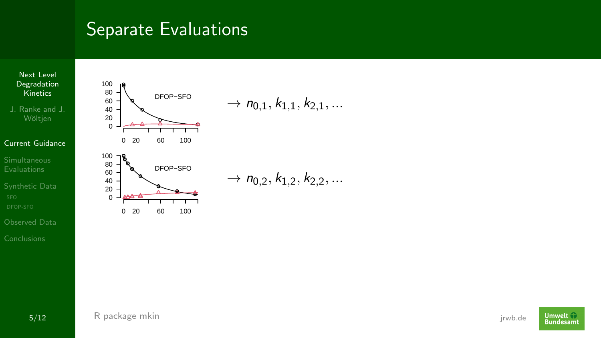

J. Ranke and J.

#### [Current Guidance](#page-2-0)

- [Synthetic Data](#page-19-0)
- [Observed Data](#page-33-0)





 $\rightarrow$   $n_{0,1}, k_{1,1}, k_{2,1}, \ldots$ 

 $\rightarrow$  n<sub>0,2</sub>,  $k_{1,2}$ ,  $k_{2,2}$ , ...

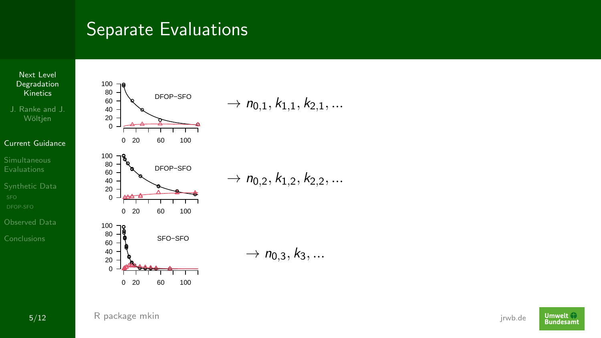



| $\rightarrow$ n <sub>0,1</sub> , k <sub>1,1</sub> , k <sub>2,1</sub> , |  |  |
|------------------------------------------------------------------------|--|--|
|                                                                        |  |  |

 $\rightarrow$  n<sub>0.2</sub>, k<sub>1.2</sub>, k<sub>2.2</sub>, ...

 $\to n_{0,3}, k_3, ...$ 

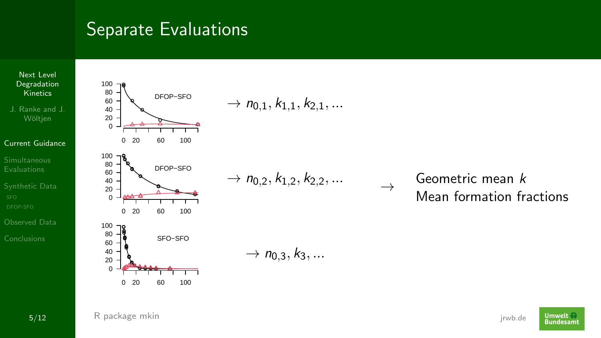

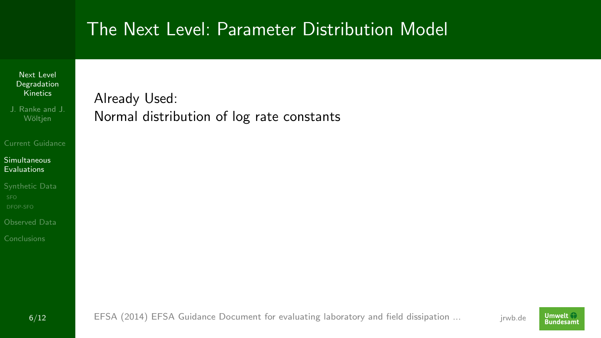#### Next Level [Degradation](#page-0-0) **Kinetics**

J. Ranke and J.

#### [Current Guidance](#page-2-0)

#### [Simultaneous](#page-11-0) Evaluations

[Synthetic Data](#page-19-0)

[Observed Data](#page-33-0)

[Conclusions](#page-39-0)

### <span id="page-11-0"></span>Already Used: Normal distribution of log rate constants

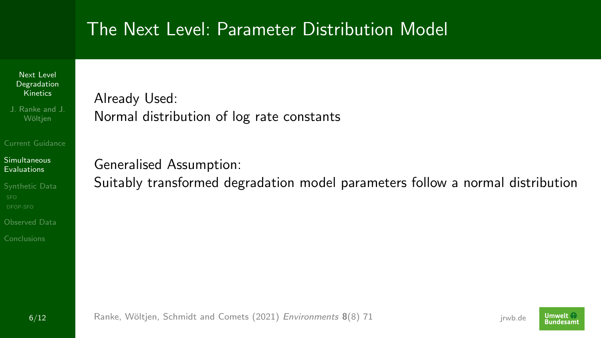#### Next Level [Degradation](#page-0-0) **Kinetics**

J. Ranke and J.

#### [Current Guidance](#page-2-0)

### [Simultaneous](#page-11-0) Evaluations

[Synthetic Data](#page-19-0)

[Observed Data](#page-33-0)

[Conclusions](#page-39-0)

### Already Used: Normal distribution of log rate constants

Generalised Assumption:

Suitably transformed degradation model parameters follow a normal distribution

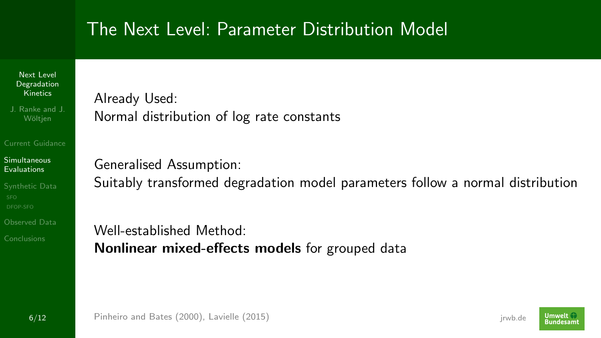Next Level [Degradation](#page-0-0) Kinetics

J. Ranke and J.

[Current Guidance](#page-2-0)

### [Simultaneous](#page-11-0) Evaluations

[Synthetic Data](#page-19-0)

[Observed Data](#page-33-0)

[Conclusions](#page-39-0)

Already Used: Normal distribution of log rate constants

Generalised Assumption: Suitably transformed degradation model parameters follow a normal distribution

Well-established Method: Nonlinear mixed-effects models for grouped data

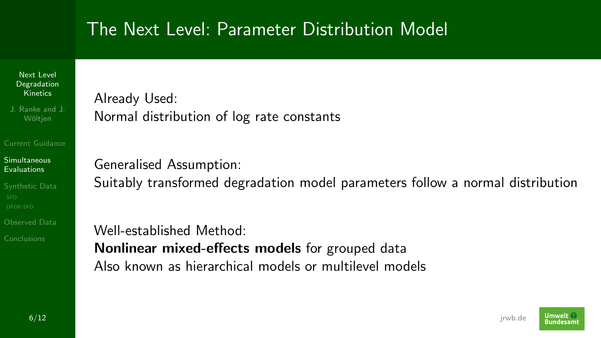Next Level [Degradation](#page-0-0) Kinetics

J. Ranke and J.

[Current Guidance](#page-2-0)

#### [Simultaneous](#page-11-0) Evaluations

[Synthetic Data](#page-19-0)

[Observed Data](#page-33-0)

[Conclusions](#page-39-0)

Already Used: Normal distribution of log rate constants

Generalised Assumption:

Suitably transformed degradation model parameters follow a normal distribution

Well-established Method: Nonlinear mixed-effects models for grouped data Also known as hierarchical models or multilevel models

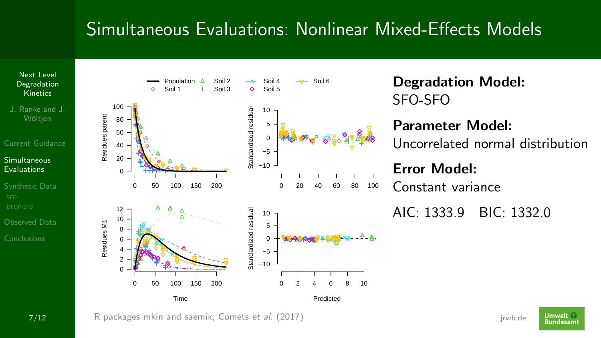

J. Ranke and J.

### [Current Guidance](#page-2-0)

### [Simultaneous](#page-11-0) Evaluations

[Synthetic Data](#page-19-0)

[Observed Data](#page-33-0)





Degradation Model: SFO-SFO

### Parameter Model:

Uncorrelated normal distribution

Error Model: Constant variance

AIC: 1333.9 BIC: 1332.0

**Umwelt Bundesam**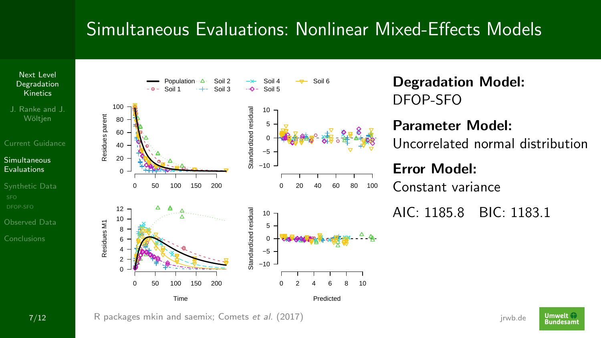

J. Ranke and J.

### [Current Guidance](#page-2-0)

### [Simultaneous](#page-11-0) Evaluations

[Synthetic Data](#page-19-0)

- [Observed Data](#page-33-0)
- [Conclusions](#page-39-0)



Degradation Model: DFOP-SFO

### Parameter Model:

Uncorrelated normal distribution

### Error Model:

Constant variance

AIC: 1185.8 BIC: 1183.1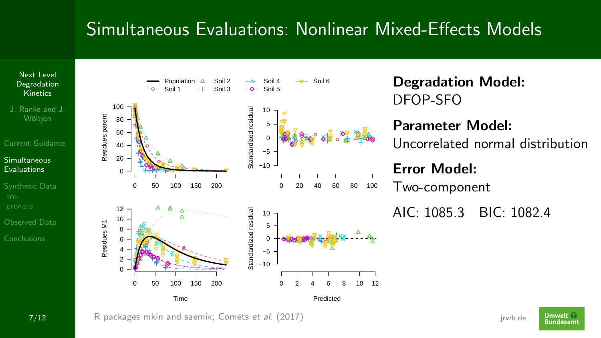

J. Ranke and J.

### [Current Guidance](#page-2-0)

### [Simultaneous](#page-11-0) Evaluations

[Synthetic Data](#page-19-0)

- [Observed Data](#page-33-0)
- [Conclusions](#page-39-0)



Degradation Model: DFOP-SFO

### Parameter Model:

Uncorrelated normal distribution

### Error Model:

Two-component

AIC: 1085.3 BIC: 1082.4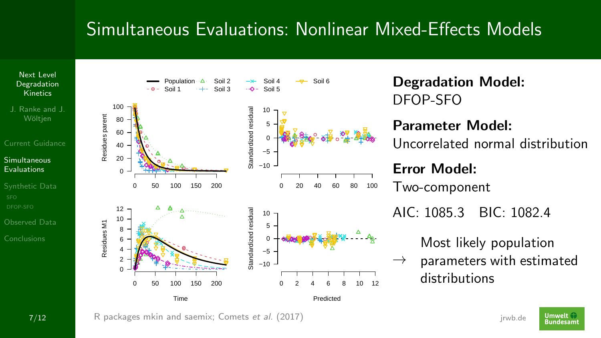

J. Ranke and J.

### [Current Guidance](#page-2-0)

### [Simultaneous](#page-11-0) Evaluations

[Synthetic Data](#page-19-0)

- [Observed Data](#page-33-0)
- [Conclusions](#page-39-0)



Degradation Model: DFOP-SFO Parameter Model:

Uncorrelated normal distribution

### Error Model: Two-component AIC: 1085.3 BIC: 1082.4

Most likely population

 $\rightarrow$ parameters with estimated distributions

**7/12** [R](https://www.r-project.org) packages [mkin](https://pkgdown.jrwb.de/mkin) and [saemix;](https://github.com/saemixdevelopment/saemixextension/raw/master/documentation/docsaem.pdf) [Comets](https://doi.org/10.18637/jss.v080.i03) *et al.* (2017) **Finally and Serversian Comets et al.** (2017)

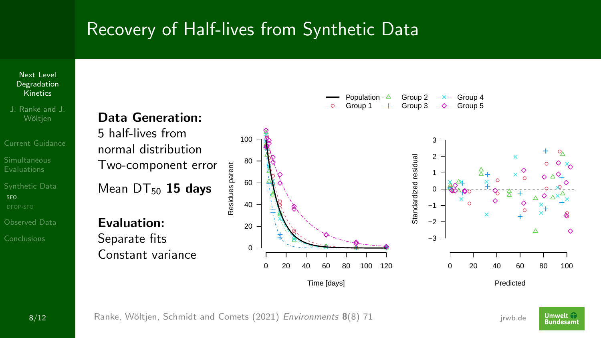<span id="page-19-0"></span>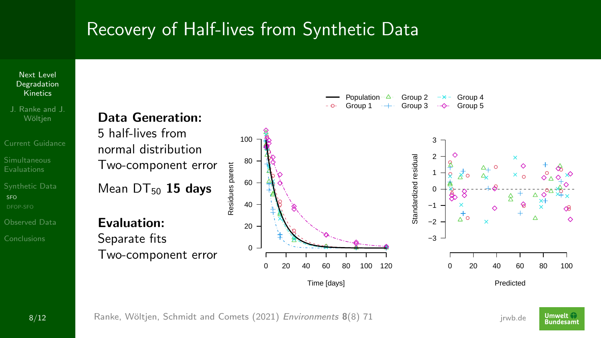

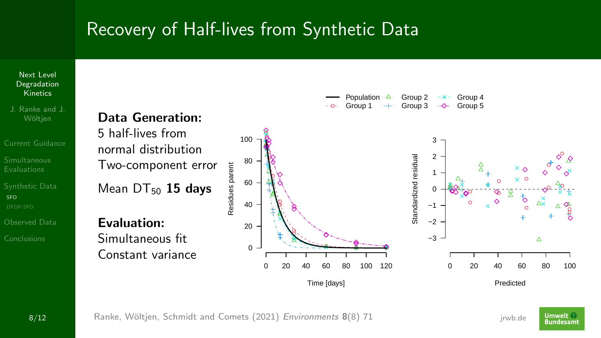

J. Ranke and J.

[Current Guidance](#page-2-0) [Synthetic Data](#page-19-0)

SEO.

[Observed Data](#page-33-0)

[Conclusions](#page-39-0)



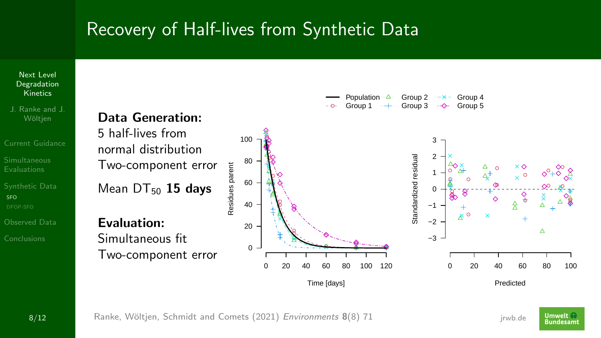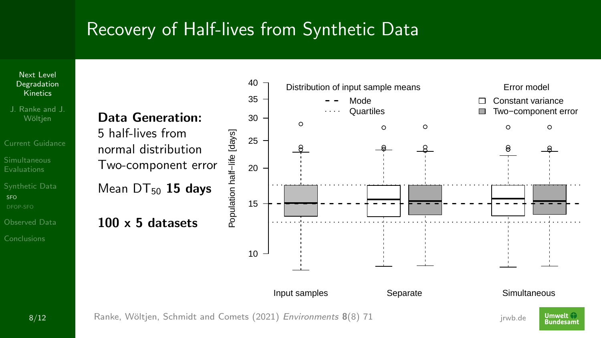Next Level [Degradation](#page-0-0) **Kinetics** 

J. Ranke and J.

[Current Guidance](#page-2-0)

[Synthetic Data](#page-19-0) SEO.

[Observed Data](#page-33-0)

[Conclusions](#page-39-0)





**8/12** Ranke, Wöltjen, Schmidt and Comets (2021) *Environments* **8**(8) 71 Fancy States Reserves and States and States States Reserves and States States States Reserves and States States States Reserves and States States St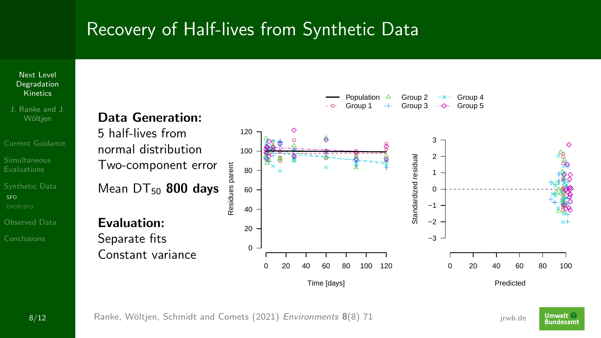

**Umwelt Bundesam**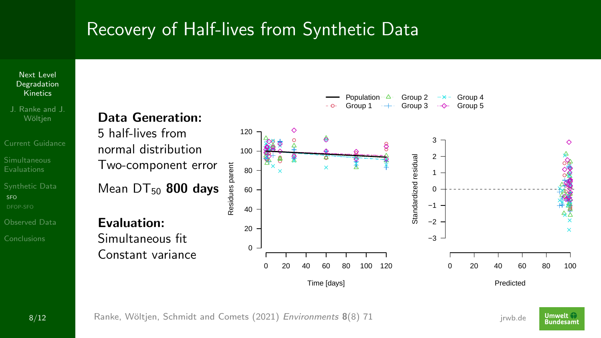

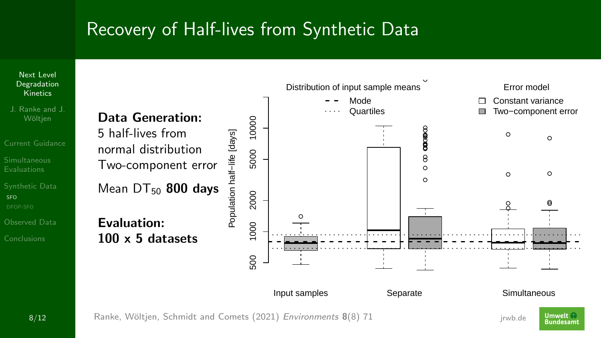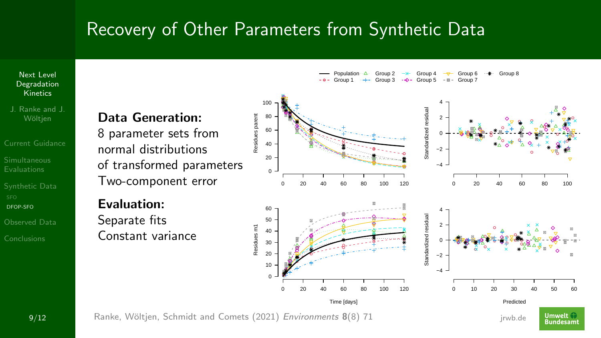<span id="page-27-0"></span>Next Level [Degradation](#page-0-0) Kinetics

J. Ranke and J.

[Current Guidance](#page-2-0) [Synthetic Data](#page-19-0)

[DFOP-SFO](#page-27-0)

[Observed Data](#page-33-0)

[Conclusions](#page-39-0)

### Data Generation:

8 parameter sets from normal distributions of transformed parameters Two-component error

Evaluation: Separate fits Constant variance Population Group 1 Group 2 Group 3 Group 4 Group 5 Group 6 Group 7 Group 8

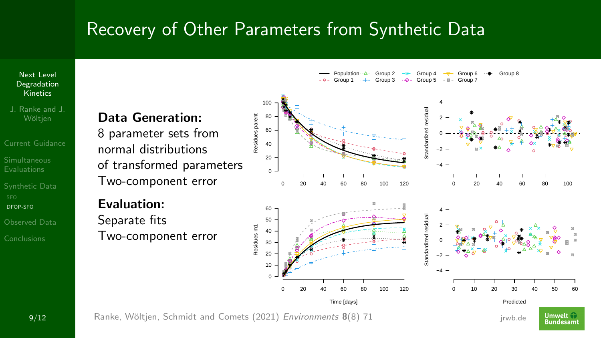Next Level [Degradation](#page-0-0) **Kinetics** 

J. Ranke and J.

[Current Guidance](#page-2-0) [Synthetic Data](#page-19-0)

[DFOP-SFO](#page-27-0)

[Observed Data](#page-33-0)

[Conclusions](#page-39-0)

### Data Generation:

8 parameter sets from normal distributions of transformed parameters Two-component error

Evaluation: Separate fits

Two-component error

Population Group 1 Group 2 Group 3 Group 4 Group 5 Group 6 Group 7 Group 8



**9/12** Ranke, Wöltjen, Schmidt and Comets (2021) *Environments* 8(8) 71 Fig. 2014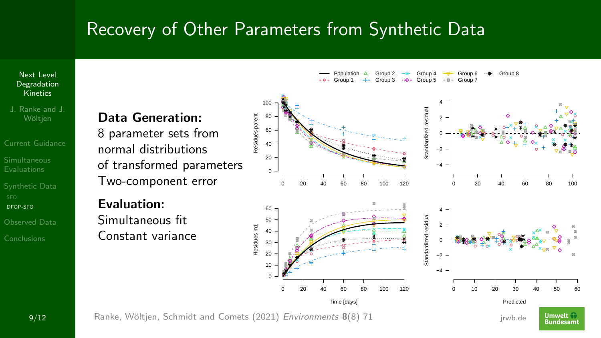Next Level [Degradation](#page-0-0) Kinetics

J. Ranke and J.

[Current Guidance](#page-2-0) [Synthetic Data](#page-19-0)

[DFOP-SFO](#page-27-0)

[Observed Data](#page-33-0)

[Conclusions](#page-39-0)

### Data Generation:

8 parameter sets from normal distributions of transformed parameters Two-component error

Evaluation:

Simultaneous fit Constant variance Population Group 1 Group 2 Group 3 Group 4 Group 5 Group 6 Group 7 Group 8



**9/12** Ranke, Wöltjen, Schmidt and Comets (2021) *Environments* 8(8) 71 Fig. 2014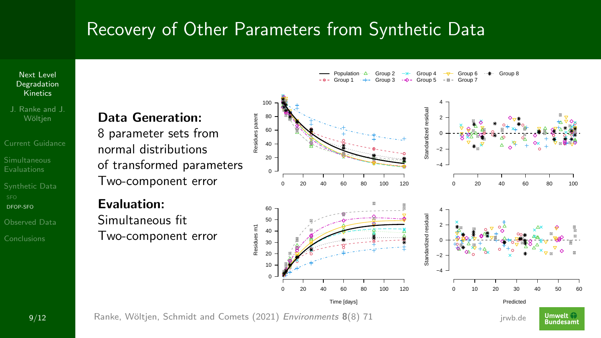Next Level [Degradation](#page-0-0) Kinetics

J. Ranke and J.

[Current Guidance](#page-2-0) [Synthetic Data](#page-19-0)

[DFOP-SFO](#page-27-0)

[Observed Data](#page-33-0)

[Conclusions](#page-39-0)

### Data Generation:

8 parameter sets from normal distributions of transformed parameters Two-component error

Evaluation:

Simultaneous fit Two-component error Population Group 1 Group 2 Group 3 Group 4 Group 5 Group 6 Group 7 Group 8

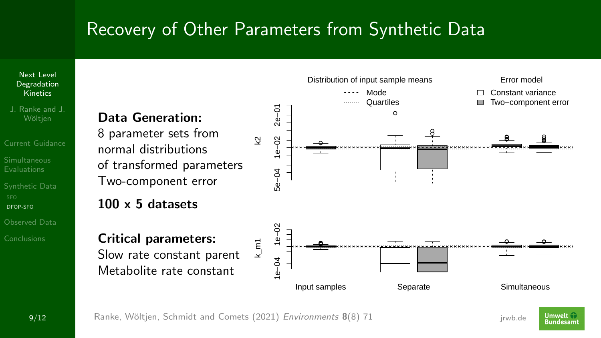Next Level [Degradation](#page-0-0) Kinetics

J. Ranke and J. Wöltien

[Current Guidance](#page-2-0) [Synthetic Data](#page-19-0)

[DFOP-SFO](#page-27-0)

[Observed Data](#page-33-0)

[Conclusions](#page-39-0)

### Data Generation:

8 parameter sets from normal distributions of transformed parameters Two-component error

### 100 x 5 datasets

Critical parameters: Slow rate constant parent

Metabolite rate constant



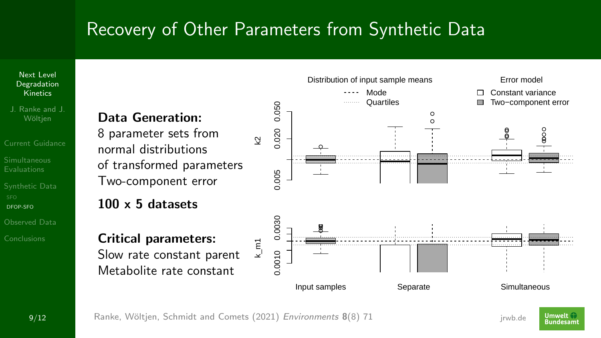Next Level [Degradation](#page-0-0) Kinetics

J. Ranke and J.

[Current Guidance](#page-2-0) [Synthetic Data](#page-19-0)

[DFOP-SFO](#page-27-0)

[Observed Data](#page-33-0)

[Conclusions](#page-39-0)

### Data Generation:

8 parameter sets from normal distributions of transformed parameters Two-component error

### 100 x 5 datasets

Critical parameters: Slow rate constant parent

Metabolite rate constant



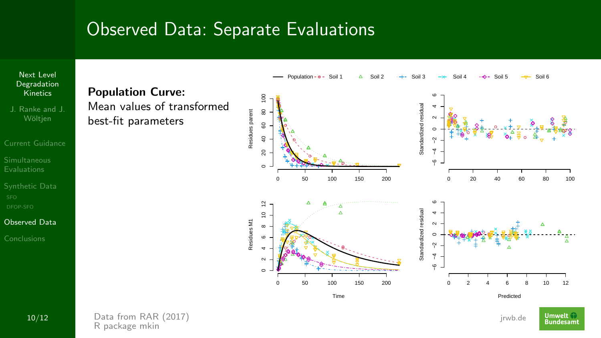<span id="page-33-0"></span>

**10/12** Data from [RAR \(2017\)](https://open.efsa.europa.eu/study-inventory/EFSA-Q-2014-00716) Details and the control of the control of the control of the control of the control of the control of the control of the control of the control of the control of the control of the control of t [R](https://www.r-project.org) package [mkin](https://pkgdown.jrwb.de/mkin)

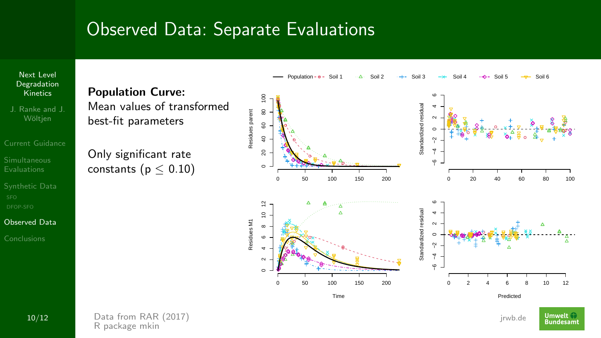

**10/12** Data from [RAR \(2017\)](https://open.efsa.europa.eu/study-inventory/EFSA-Q-2014-00716) Details and the control of the control of the control of the control of the control of the control of the control of the control of the control of the control of the control of the control of t [R](https://www.r-project.org) package [mkin](https://pkgdown.jrwb.de/mkin)

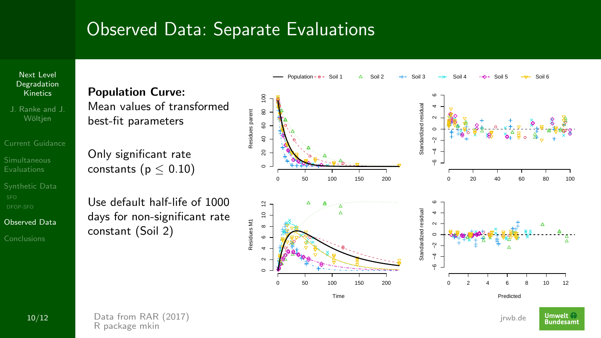

J. Ranke and J.

[Current Guidance](#page-2-0)

[Synthetic Data](#page-19-0)

[Observed Data](#page-33-0)

[Conclusions](#page-39-0)



Only significant rate constants ( $p < 0.10$ )

Use default half-life of 1000 days for non-significant rate constant (Soil 2)



**10/12** Data from [RAR \(2017\)](https://open.efsa.europa.eu/study-inventory/EFSA-Q-2014-00716) Details and the control of the control of the control of the control of the control of the control of the control of the control of the control of the control of the control of the control of t [R](https://www.r-project.org) package [mkin](https://pkgdown.jrwb.de/mkin)

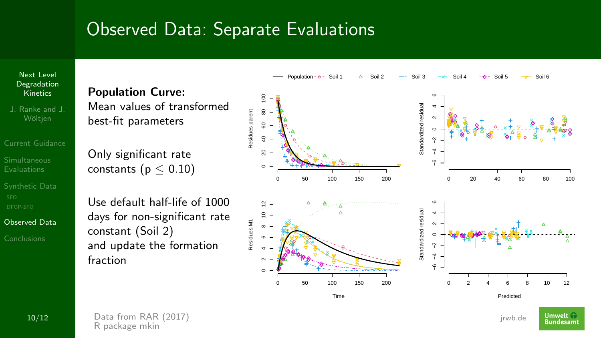

J. Ranke and J.

[Current Guidance](#page-2-0)

[Synthetic Data](#page-19-0)

[Observed Data](#page-33-0)

[Conclusions](#page-39-0)



Only significant rate constants ( $p < 0.10$ )

Use default half-life of 1000 days for non-significant rate constant (Soil 2) and update the formation fraction



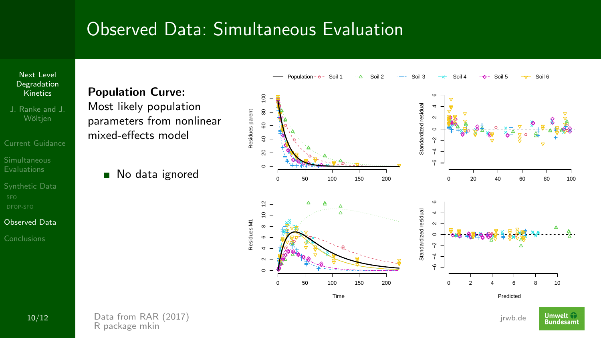## Observed Data: Simultaneous Evaluation



J. Ranke and J.

[Synthetic Data](#page-19-0)

[Observed Data](#page-33-0)

[Conclusions](#page-39-0)

Population Curve: Most likely population parameters from nonlinear mixed-effects model

No data ignored





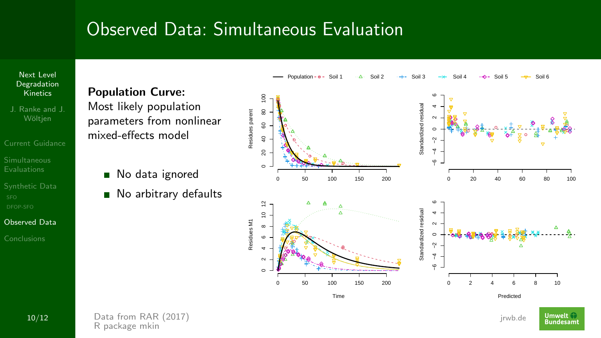## Observed Data: Simultaneous Evaluation



- J. Ranke and J.
- [Current Guidance](#page-2-0)
- 
- [Synthetic Data](#page-19-0)
- [Observed Data](#page-33-0)

[Conclusions](#page-39-0)

Population Curve: Most likely population parameters from nonlinear mixed-effects model

- No data ignored  $\blacksquare$
- No arbitrary defaults  $\blacksquare$



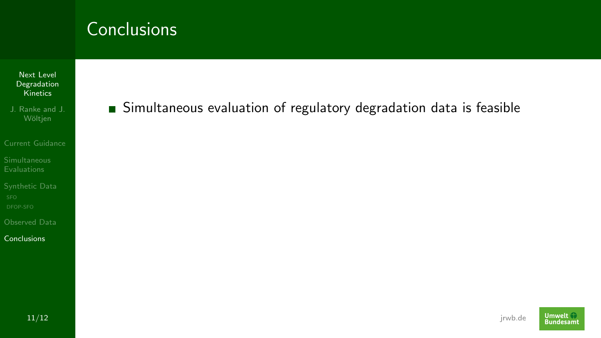- Next Level [Degradation](#page-0-0) **Kinetics**
- J. Ranke and J.
- [Current Guidance](#page-2-0)
- 
- [Synthetic Data](#page-19-0)
- [Observed Data](#page-33-0)
- **[Conclusions](#page-39-0)**

### <span id="page-39-0"></span>Simultaneous evaluation of regulatory degradation data is feasible

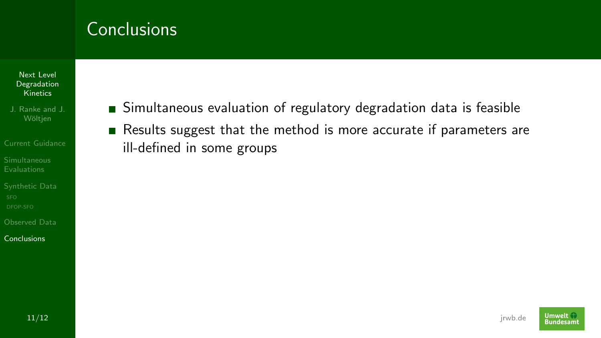Next Level [Degradation](#page-0-0) **Kinetics** 

J. Ranke and J.

[Current Guidance](#page-2-0)

[Synthetic Data](#page-19-0)

[Observed Data](#page-33-0)

**[Conclusions](#page-39-0)** 

Simultaneous evaluation of regulatory degradation data is feasible Results suggest that the method is more accurate if parameters are ill-defined in some groups

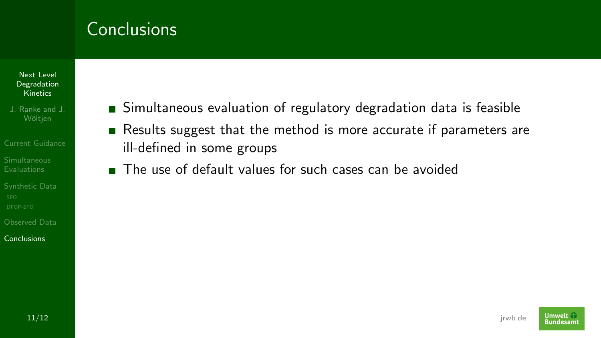Next Level [Degradation](#page-0-0) **Kinetics** 

J. Ranke and J.

[Current Guidance](#page-2-0)

[Synthetic Data](#page-19-0)

[Observed Data](#page-33-0)

[Conclusions](#page-39-0)

- Simultaneous evaluation of regulatory degradation data is feasible
- Results suggest that the method is more accurate if parameters are ill-defined in some groups
- The use of default values for such cases can be avoided

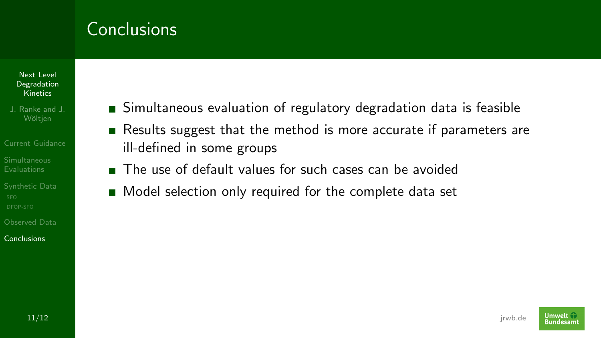#### Next Level [Degradation](#page-0-0) **Kinetics**

- J. Ranke and J.
- [Current Guidance](#page-2-0)
- 
- [Synthetic Data](#page-19-0)
- [Observed Data](#page-33-0)

[Conclusions](#page-39-0)

- Simultaneous evaluation of regulatory degradation data is feasible
- Results suggest that the method is more accurate if parameters are ill-defined in some groups
- The use of default values for such cases can be avoided
- Model selection only required for the complete data set

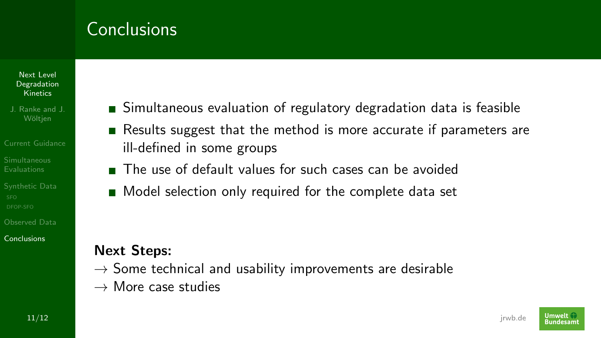#### Next Level [Degradation](#page-0-0) Kinetics

- J. Ranke and J. Wöltien
- [Current Guidance](#page-2-0)
- 
- [Synthetic Data](#page-19-0)
- [Observed Data](#page-33-0)

[Conclusions](#page-39-0)

- Simultaneous evaluation of regulatory degradation data is feasible
- Results suggest that the method is more accurate if parameters are ill-defined in some groups
- The use of default values for such cases can be avoided
- Model selection only required for the complete data set

### Next Steps:

- $\rightarrow$  Some technical and usability improvements are desirable
- $\rightarrow$  More case studies